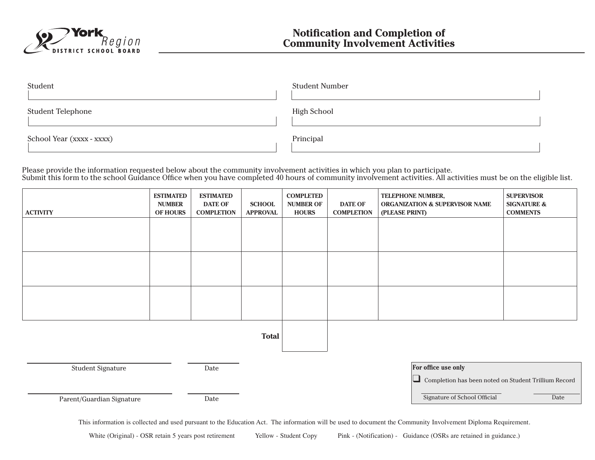

| Student                   | <b>Student Number</b> |
|---------------------------|-----------------------|
| <b>Student Telephone</b>  | <b>High School</b>    |
| School Year (xxxx - xxxx) | Principal             |

Please provide the information requested below about the community involvement activities in which you plan to participate. Submit this form to the school Guidance Office when you have completed 40 hours of community involvement activities. All activities must be on the eligible list.

| <b>ACTIVITY</b>           | <b>ESTIMATED</b><br><b>NUMBER</b><br><b>OF HOURS</b> | <b>ESTIMATED</b><br><b>DATE OF</b><br><b>COMPLETION</b> | <b>SCHOOL</b><br><b>APPROVAL</b> | <b>COMPLETED</b><br><b>NUMBER OF</b><br><b>HOURS</b> | <b>DATE OF</b><br><b>COMPLETION</b>                  | TELEPHONE NUMBER,<br><b>ORGANIZATION &amp; SUPERVISOR NAME</b><br>(PLEASE PRINT) | <b>SUPERVISOR</b><br><b>SIGNATURE &amp;</b><br><b>COMMENTS</b> |
|---------------------------|------------------------------------------------------|---------------------------------------------------------|----------------------------------|------------------------------------------------------|------------------------------------------------------|----------------------------------------------------------------------------------|----------------------------------------------------------------|
|                           |                                                      |                                                         |                                  |                                                      |                                                      |                                                                                  |                                                                |
|                           |                                                      |                                                         |                                  |                                                      |                                                      |                                                                                  |                                                                |
|                           |                                                      |                                                         |                                  |                                                      |                                                      |                                                                                  |                                                                |
|                           |                                                      |                                                         |                                  |                                                      |                                                      |                                                                                  |                                                                |
|                           |                                                      |                                                         |                                  |                                                      |                                                      |                                                                                  |                                                                |
|                           |                                                      |                                                         |                                  |                                                      |                                                      |                                                                                  |                                                                |
|                           |                                                      |                                                         | <b>Total</b>                     |                                                      |                                                      |                                                                                  |                                                                |
|                           |                                                      |                                                         |                                  |                                                      |                                                      | For office use only                                                              |                                                                |
| <b>Student Signature</b>  |                                                      | Date                                                    |                                  |                                                      | Completion has been noted on Student Trillium Record |                                                                                  |                                                                |
| Parent/Guardian Signature |                                                      | Date                                                    |                                  | Signature of School Official<br>Date                 |                                                      |                                                                                  |                                                                |

This information is collected and used pursuant to the Education Act. The information will be used to document the Community Involvement Diploma Requirement.